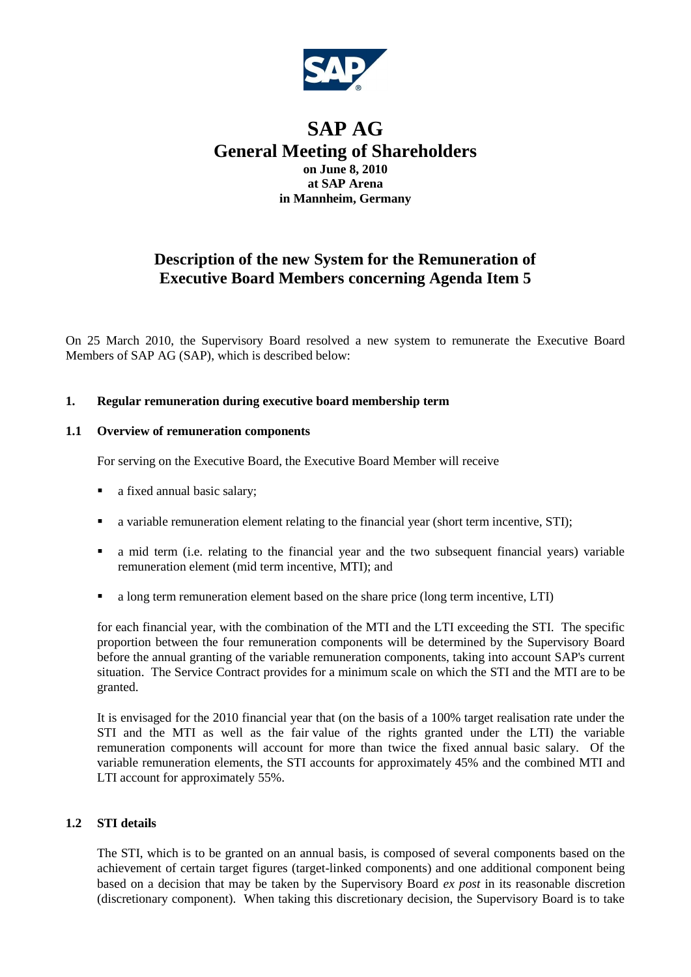

# **SAP AG General Meeting of Shareholders on June 8, 2010 at SAP Arena in Mannheim, Germany**

# **Description of the new System for the Remuneration of Executive Board Members concerning Agenda Item 5**

On 25 March 2010, the Supervisory Board resolved a new system to remunerate the Executive Board Members of SAP AG (SAP), which is described below:

### **1. Regular remuneration during executive board membership term**

### **1.1 Overview of remuneration components**

For serving on the Executive Board, the Executive Board Member will receive

- a fixed annual basic salary;
- a variable remuneration element relating to the financial year (short term incentive, STI);
- a mid term (i.e. relating to the financial year and the two subsequent financial years) variable remuneration element (mid term incentive, MTI); and
- a long term remuneration element based on the share price (long term incentive, LTI)

for each financial year, with the combination of the MTI and the LTI exceeding the STI. The specific proportion between the four remuneration components will be determined by the Supervisory Board before the annual granting of the variable remuneration components, taking into account SAP's current situation. The Service Contract provides for a minimum scale on which the STI and the MTI are to be granted.

It is envisaged for the 2010 financial year that (on the basis of a 100% target realisation rate under the STI and the MTI as well as the fair value of the rights granted under the LTI) the variable remuneration components will account for more than twice the fixed annual basic salary. Of the variable remuneration elements, the STI accounts for approximately 45% and the combined MTI and LTI account for approximately 55%.

## **1.2 STI details**

The STI, which is to be granted on an annual basis, is composed of several components based on the achievement of certain target figures (target-linked components) and one additional component being based on a decision that may be taken by the Supervisory Board *ex post* in its reasonable discretion (discretionary component). When taking this discretionary decision, the Supervisory Board is to take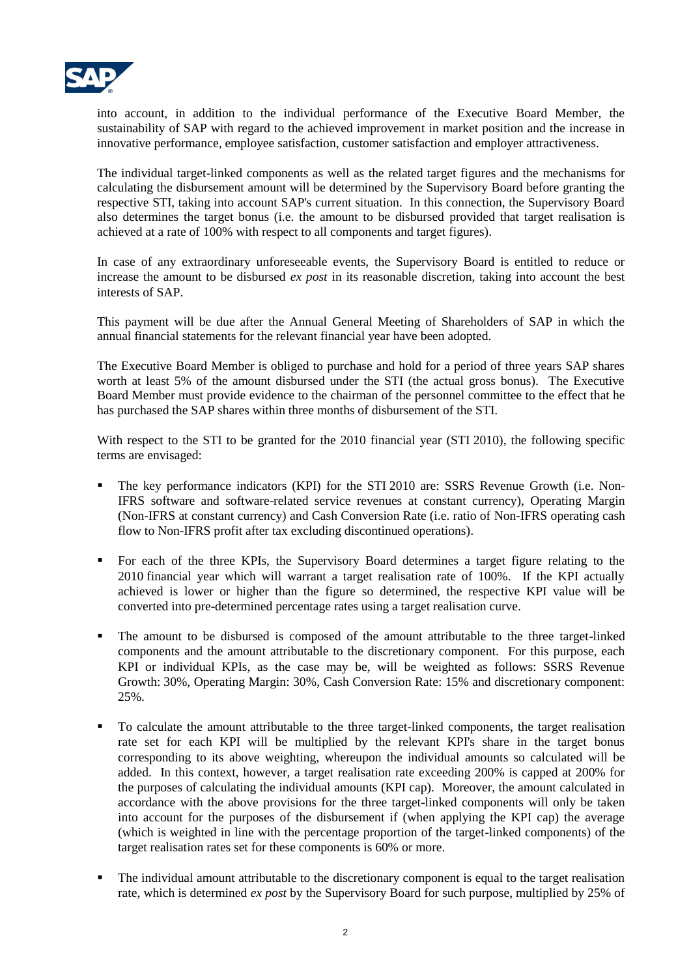

into account, in addition to the individual performance of the Executive Board Member, the sustainability of SAP with regard to the achieved improvement in market position and the increase in innovative performance, employee satisfaction, customer satisfaction and employer attractiveness.

The individual target-linked components as well as the related target figures and the mechanisms for calculating the disbursement amount will be determined by the Supervisory Board before granting the respective STI, taking into account SAP's current situation. In this connection, the Supervisory Board also determines the target bonus (i.e. the amount to be disbursed provided that target realisation is achieved at a rate of 100% with respect to all components and target figures).

In case of any extraordinary unforeseeable events, the Supervisory Board is entitled to reduce or increase the amount to be disbursed *ex post* in its reasonable discretion, taking into account the best interests of SAP.

This payment will be due after the Annual General Meeting of Shareholders of SAP in which the annual financial statements for the relevant financial year have been adopted.

The Executive Board Member is obliged to purchase and hold for a period of three years SAP shares worth at least 5% of the amount disbursed under the STI (the actual gross bonus). The Executive Board Member must provide evidence to the chairman of the personnel committee to the effect that he has purchased the SAP shares within three months of disbursement of the STI.

With respect to the STI to be granted for the 2010 financial year (STI 2010), the following specific terms are envisaged:

- The key performance indicators (KPI) for the STI 2010 are: SSRS Revenue Growth (i.e. Non-IFRS software and software-related service revenues at constant currency), Operating Margin (Non-IFRS at constant currency) and Cash Conversion Rate (i.e. ratio of Non-IFRS operating cash flow to Non-IFRS profit after tax excluding discontinued operations).
- For each of the three KPIs, the Supervisory Board determines a target figure relating to the 2010 financial year which will warrant a target realisation rate of 100%. If the KPI actually achieved is lower or higher than the figure so determined, the respective KPI value will be converted into pre-determined percentage rates using a target realisation curve.
- The amount to be disbursed is composed of the amount attributable to the three target-linked components and the amount attributable to the discretionary component. For this purpose, each KPI or individual KPIs, as the case may be, will be weighted as follows: SSRS Revenue Growth: 30%, Operating Margin: 30%, Cash Conversion Rate: 15% and discretionary component: 25%.
- To calculate the amount attributable to the three target-linked components, the target realisation rate set for each KPI will be multiplied by the relevant KPI's share in the target bonus corresponding to its above weighting, whereupon the individual amounts so calculated will be added. In this context, however, a target realisation rate exceeding 200% is capped at 200% for the purposes of calculating the individual amounts (KPI cap). Moreover, the amount calculated in accordance with the above provisions for the three target-linked components will only be taken into account for the purposes of the disbursement if (when applying the KPI cap) the average (which is weighted in line with the percentage proportion of the target-linked components) of the target realisation rates set for these components is 60% or more.
- The individual amount attributable to the discretionary component is equal to the target realisation rate, which is determined *ex post* by the Supervisory Board for such purpose, multiplied by 25% of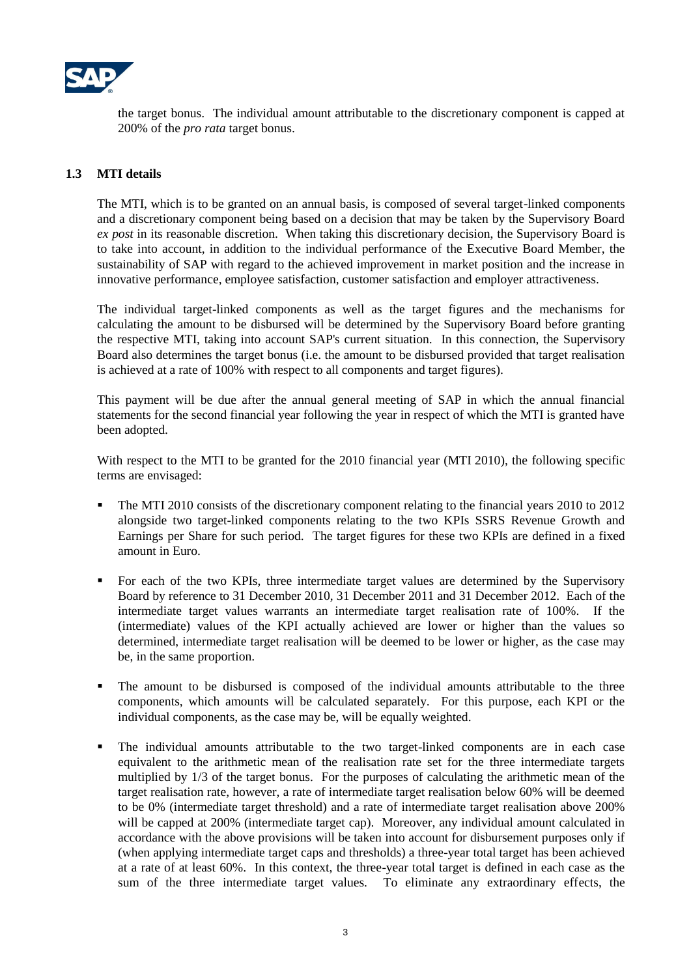

the target bonus. The individual amount attributable to the discretionary component is capped at 200% of the *pro rata* target bonus.

#### **1.3 MTI details**

The MTI, which is to be granted on an annual basis, is composed of several target-linked components and a discretionary component being based on a decision that may be taken by the Supervisory Board *ex post* in its reasonable discretion. When taking this discretionary decision, the Supervisory Board is to take into account, in addition to the individual performance of the Executive Board Member, the sustainability of SAP with regard to the achieved improvement in market position and the increase in innovative performance, employee satisfaction, customer satisfaction and employer attractiveness.

The individual target-linked components as well as the target figures and the mechanisms for calculating the amount to be disbursed will be determined by the Supervisory Board before granting the respective MTI, taking into account SAP's current situation. In this connection, the Supervisory Board also determines the target bonus (i.e. the amount to be disbursed provided that target realisation is achieved at a rate of 100% with respect to all components and target figures).

This payment will be due after the annual general meeting of SAP in which the annual financial statements for the second financial year following the year in respect of which the MTI is granted have been adopted.

With respect to the MTI to be granted for the 2010 financial year (MTI 2010), the following specific terms are envisaged:

- The MTI 2010 consists of the discretionary component relating to the financial years 2010 to 2012 alongside two target-linked components relating to the two KPIs SSRS Revenue Growth and Earnings per Share for such period. The target figures for these two KPIs are defined in a fixed amount in Euro.
- For each of the two KPIs, three intermediate target values are determined by the Supervisory Board by reference to 31 December 2010, 31 December 2011 and 31 December 2012. Each of the intermediate target values warrants an intermediate target realisation rate of 100%. If the (intermediate) values of the KPI actually achieved are lower or higher than the values so determined, intermediate target realisation will be deemed to be lower or higher, as the case may be, in the same proportion.
- The amount to be disbursed is composed of the individual amounts attributable to the three components, which amounts will be calculated separately. For this purpose, each KPI or the individual components, as the case may be, will be equally weighted.
- The individual amounts attributable to the two target-linked components are in each case equivalent to the arithmetic mean of the realisation rate set for the three intermediate targets multiplied by 1/3 of the target bonus. For the purposes of calculating the arithmetic mean of the target realisation rate, however, a rate of intermediate target realisation below 60% will be deemed to be 0% (intermediate target threshold) and a rate of intermediate target realisation above 200% will be capped at 200% (intermediate target cap). Moreover, any individual amount calculated in accordance with the above provisions will be taken into account for disbursement purposes only if (when applying intermediate target caps and thresholds) a three-year total target has been achieved at a rate of at least 60%. In this context, the three-year total target is defined in each case as the sum of the three intermediate target values. To eliminate any extraordinary effects, the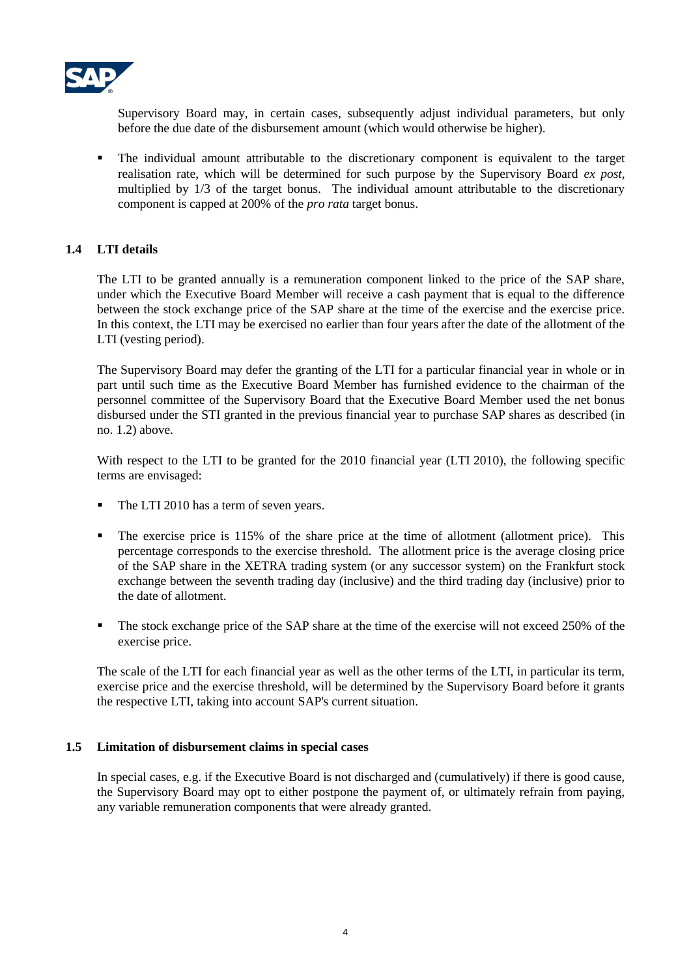

Supervisory Board may, in certain cases, subsequently adjust individual parameters, but only before the due date of the disbursement amount (which would otherwise be higher).

 The individual amount attributable to the discretionary component is equivalent to the target realisation rate, which will be determined for such purpose by the Supervisory Board *ex post*, multiplied by 1/3 of the target bonus. The individual amount attributable to the discretionary component is capped at 200% of the *pro rata* target bonus.

# **1.4 LTI details**

The LTI to be granted annually is a remuneration component linked to the price of the SAP share, under which the Executive Board Member will receive a cash payment that is equal to the difference between the stock exchange price of the SAP share at the time of the exercise and the exercise price. In this context, the LTI may be exercised no earlier than four years after the date of the allotment of the LTI (vesting period).

The Supervisory Board may defer the granting of the LTI for a particular financial year in whole or in part until such time as the Executive Board Member has furnished evidence to the chairman of the personnel committee of the Supervisory Board that the Executive Board Member used the net bonus disbursed under the STI granted in the previous financial year to purchase SAP shares as described (in no. 1.2) above.

With respect to the LTI to be granted for the 2010 financial year (LTI 2010), the following specific terms are envisaged:

- The LTI 2010 has a term of seven years.
- The exercise price is 115% of the share price at the time of allotment (allotment price). This percentage corresponds to the exercise threshold. The allotment price is the average closing price of the SAP share in the XETRA trading system (or any successor system) on the Frankfurt stock exchange between the seventh trading day (inclusive) and the third trading day (inclusive) prior to the date of allotment.
- The stock exchange price of the SAP share at the time of the exercise will not exceed 250% of the exercise price.

The scale of the LTI for each financial year as well as the other terms of the LTI, in particular its term, exercise price and the exercise threshold, will be determined by the Supervisory Board before it grants the respective LTI, taking into account SAP's current situation.

# **1.5 Limitation of disbursement claims in special cases**

In special cases, e.g. if the Executive Board is not discharged and (cumulatively) if there is good cause, the Supervisory Board may opt to either postpone the payment of, or ultimately refrain from paying, any variable remuneration components that were already granted.